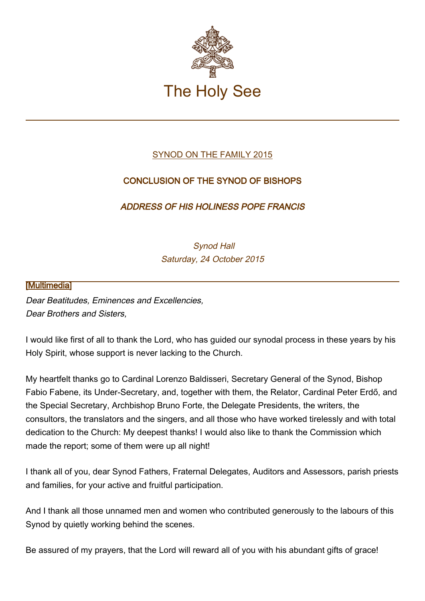

## [SYNOD ON THE FAMILY 2015](http://www.vatican.va/roman_curia/synod/index.htm#XIV_Ordinary_General_Assembly_of_the_Synod_of_Bishops)

# CONCLUSION OF THE SYNOD OF BISHOPS

### ADDRESS OF HIS HOLINESS POPE FRANCIS

 Synod Hall Saturday, 24 October 2015

### [\[Multimedia](http://w2.vatican.va/content/francesco/en/events/event.dir.html/content/vaticanevents/en/2015/10/24/sinodo.html)]

Dear Beatitudes, Eminences and Excellencies, Dear Brothers and Sisters,

I would like first of all to thank the Lord, who has guided our synodal process in these years by his Holy Spirit, whose support is never lacking to the Church.

My heartfelt thanks go to Cardinal Lorenzo Baldisseri, Secretary General of the Synod, Bishop Fabio Fabene, its Under-Secretary, and, together with them, the Relator, Cardinal Peter Erdő, and the Special Secretary, Archbishop Bruno Forte, the Delegate Presidents, the writers, the consultors, the translators and the singers, and all those who have worked tirelessly and with total dedication to the Church: My deepest thanks! I would also like to thank the Commission which made the report; some of them were up all night!

I thank all of you, dear Synod Fathers, Fraternal Delegates, Auditors and Assessors, parish priests and families, for your active and fruitful participation.

And I thank all those unnamed men and women who contributed generously to the labours of this Synod by quietly working behind the scenes.

Be assured of my prayers, that the Lord will reward all of you with his abundant gifts of grace!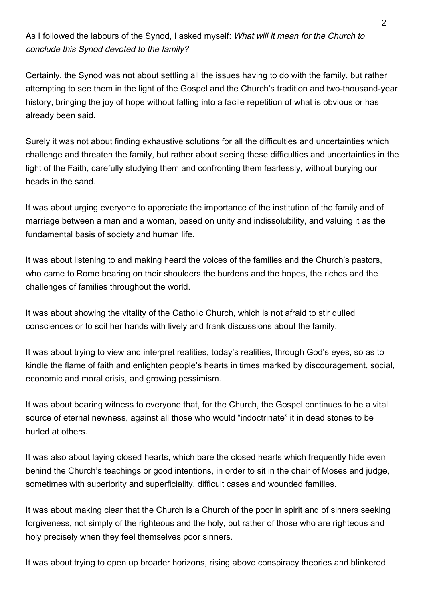As I followed the labours of the Synod, I asked myself: What will it mean for the Church to conclude this Synod devoted to the family?

Certainly, the Synod was not about settling all the issues having to do with the family, but rather attempting to see them in the light of the Gospel and the Church's tradition and two-thousand-year history, bringing the joy of hope without falling into a facile repetition of what is obvious or has already been said.

Surely it was not about finding exhaustive solutions for all the difficulties and uncertainties which challenge and threaten the family, but rather about seeing these difficulties and uncertainties in the light of the Faith, carefully studying them and confronting them fearlessly, without burying our heads in the sand.

It was about urging everyone to appreciate the importance of the institution of the family and of marriage between a man and a woman, based on unity and indissolubility, and valuing it as the fundamental basis of society and human life.

It was about listening to and making heard the voices of the families and the Church's pastors, who came to Rome bearing on their shoulders the burdens and the hopes, the riches and the challenges of families throughout the world.

It was about showing the vitality of the Catholic Church, which is not afraid to stir dulled consciences or to soil her hands with lively and frank discussions about the family.

It was about trying to view and interpret realities, today's realities, through God's eyes, so as to kindle the flame of faith and enlighten people's hearts in times marked by discouragement, social, economic and moral crisis, and growing pessimism.

It was about bearing witness to everyone that, for the Church, the Gospel continues to be a vital source of eternal newness, against all those who would "indoctrinate" it in dead stones to be hurled at others.

It was also about laying closed hearts, which bare the closed hearts which frequently hide even behind the Church's teachings or good intentions, in order to sit in the chair of Moses and judge, sometimes with superiority and superficiality, difficult cases and wounded families.

It was about making clear that the Church is a Church of the poor in spirit and of sinners seeking forgiveness, not simply of the righteous and the holy, but rather of those who are righteous and holy precisely when they feel themselves poor sinners.

It was about trying to open up broader horizons, rising above conspiracy theories and blinkered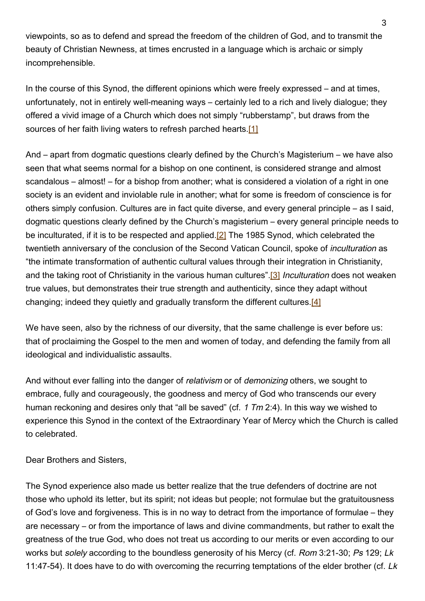viewpoints, so as to defend and spread the freedom of the children of God, and to transmit the beauty of Christian Newness, at times encrusted in a language which is archaic or simply incomprehensible.

In the course of this Synod, the different opinions which were freely expressed – and at times, unfortunately, not in entirely well-meaning ways – certainly led to a rich and lively dialogue; they offered a vivid image of a Church which does not simply "rubberstamp", but draws from the sources of her faith living waters to refresh parched hearts.[1]

And – apart from dogmatic questions clearly defined by the Church's Magisterium – we have also seen that what seems normal for a bishop on one continent, is considered strange and almost scandalous – almost! – for a bishop from another; what is considered a violation of a right in one society is an evident and inviolable rule in another; what for some is freedom of conscience is for others simply confusion. Cultures are in fact quite diverse, and every general principle – as I said, dogmatic questions clearly defined by the Church's magisterium – every general principle needs to be inculturated, if it is to be respected and applied.<sup>[2]</sup> The 1985 Synod, which celebrated the twentieth anniversary of the conclusion of the Second Vatican Council, spoke of inculturation as "the intimate transformation of authentic cultural values through their integration in Christianity, and the taking root of Christianity in the various human cultures" [3] Inculturation does not weaken true values, but demonstrates their true strength and authenticity, since they adapt without changing; indeed they quietly and gradually transform the different cultures.[4]

We have seen, also by the richness of our diversity, that the same challenge is ever before us: that of proclaiming the Gospel to the men and women of today, and defending the family from all ideological and individualistic assaults.

And without ever falling into the danger of *relativism* or of *demonizing* others, we sought to embrace, fully and courageously, the goodness and mercy of God who transcends our every human reckoning and desires only that "all be saved" (cf. 1 Tm 2:4). In this way we wished to experience this Synod in the context of the Extraordinary Year of Mercy which the Church is called to celebrated.

Dear Brothers and Sisters,

The Synod experience also made us better realize that the true defenders of doctrine are not those who uphold its letter, but its spirit; not ideas but people; not formulae but the gratuitousness of God's love and forgiveness. This is in no way to detract from the importance of formulae – they are necessary – or from the importance of laws and divine commandments, but rather to exalt the greatness of the true God, who does not treat us according to our merits or even according to our works but solely according to the boundless generosity of his Mercy (cf. Rom 3:21-30; Ps 129; Lk 11:47-54). It does have to do with overcoming the recurring temptations of the elder brother (cf. Lk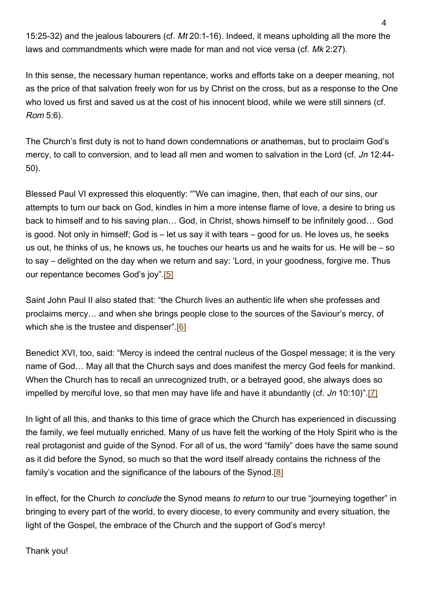15:25-32) and the jealous labourers (cf. Mt 20:1-16). Indeed, it means upholding all the more the laws and commandments which were made for man and not vice versa (cf. Mk 2:27).

In this sense, the necessary human repentance, works and efforts take on a deeper meaning, not as the price of that salvation freely won for us by Christ on the cross, but as a response to the One who loved us first and saved us at the cost of his innocent blood, while we were still sinners (cf. Rom 5:6).

The Church's first duty is not to hand down condemnations or anathemas, but to proclaim God's mercy, to call to conversion, and to lead all men and women to salvation in the Lord (cf. Jn 12:44-50).

Blessed Paul VI expressed this eloquently: ""We can imagine, then, that each of our sins, our attempts to turn our back on God, kindles in him a more intense flame of love, a desire to bring us back to himself and to his saving plan… God, in Christ, shows himself to be infinitely good… God is good. Not only in himself; God is – let us say it with tears – good for us. He loves us, he seeks us out, he thinks of us, he knows us, he touches our hearts us and he waits for us. He will be – so to say – delighted on the day when we return and say: 'Lord, in your goodness, forgive me. Thus our repentance becomes God's joy".[5]

Saint John Paul II also stated that: "the Church lives an authentic life when she professes and proclaims mercy… and when she brings people close to the sources of the Saviour's mercy, of which she is the trustee and dispenser".<sup>[6]</sup>

Benedict XVI, too, said: "Mercy is indeed the central nucleus of the Gospel message; it is the very name of God… May all that the Church says and does manifest the mercy God feels for mankind. When the Church has to recall an unrecognized truth, or a betrayed good, she always does so impelled by merciful love, so that men may have life and have it abundantly (cf. Jn 10:10)".[7]

In light of all this, and thanks to this time of grace which the Church has experienced in discussing the family, we feel mutually enriched. Many of us have felt the working of the Holy Spirit who is the real protagonist and guide of the Synod. For all of us, the word "family" does have the same sound as it did before the Synod, so much so that the word itself already contains the richness of the family's vocation and the significance of the labours of the Synod.<sup>[8]</sup>

In effect, for the Church to conclude the Synod means to return to our true "journeying together" in bringing to every part of the world, to every diocese, to every community and every situation, the light of the Gospel, the embrace of the Church and the support of God's mercy!

Thank you!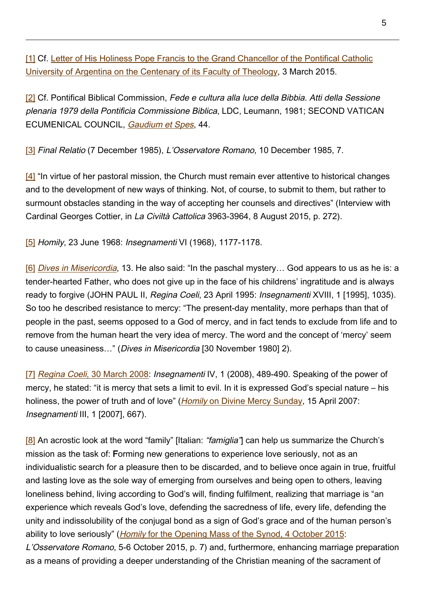[1] Cf. [Letter of His Holiness Pope Francis to the Grand Chancellor of the Pontifical Catholic](http://w2.vatican.va/content/francesco/en/letters/2015/documents/papa-francesco_20150303_lettera-universita-cattolica-argentina.html) [University of Argentina on the Centenary of its Faculty of Theology,](http://w2.vatican.va/content/francesco/en/letters/2015/documents/papa-francesco_20150303_lettera-universita-cattolica-argentina.html) 3 March 2015.

[2] Cf. Pontifical Biblical Commission, Fede e cultura alla luce della Bibbia. Atti della Sessione plenaria 1979 della Pontificia Commissione Biblica, LDC, Leumann, 1981; SECOND VATICAN ECUMENICAL COUNCIL, [Gaudium et Spes](http://www.vatican.va/archive/hist_councils/ii_vatican_council/documents/vat-ii_const_19651207_gaudium-et-spes_en.html), 44.

[3] Final Relatio (7 December 1985), L'Osservatore Romano, 10 December 1985, 7.

[4] "In virtue of her pastoral mission, the Church must remain ever attentive to historical changes and to the development of new ways of thinking. Not, of course, to submit to them, but rather to surmount obstacles standing in the way of accepting her counsels and directives" (Interview with Cardinal Georges Cottier, in La Civiltà Cattolica 3963-3964, 8 August 2015, p. 272).

[5] Homily, 23 June 1968: Insegnamenti VI (1968), 1177-1178.

[6] *[Dives in Misericordia](http://w2.vatican.va/content/john-paul-ii/en/encyclicals/documents/hf_jp-ii_enc_30111980_dives-in-misericordia.html)*, 13. He also said: "In the paschal mystery... God appears to us as he is: a tender-hearted Father, who does not give up in the face of his childrens' ingratitude and is always ready to forgive (JOHN PAUL II, Regina Coeli, 23 April 1995: Insegnamenti XVIII, 1 [1995], 1035). So too he described resistance to mercy: "The present-day mentality, more perhaps than that of people in the past, seems opposed to a God of mercy, and in fact tends to exclude from life and to remove from the human heart the very idea of mercy. The word and the concept of 'mercy' seem to cause uneasiness…" (Dives in Misericordia [30 November 1980] 2).

[7] Regina Coeli[, 30 March 2008:](http://w2.vatican.va/content/benedict-xvi/en/angelus/2008/documents/hf_ben-xvi_reg_20080330.html) Insegnamenti IV, 1 (2008), 489-490. Speaking of the power of mercy, he stated: "it is mercy that sets a limit to evil. In it is expressed God's special nature – his holiness, the power of truth and of love" (*Homil[y](http://w2.vatican.va/content/benedict-xvi/en/homilies/2007/documents/hf_ben-xvi_hom_20070415_80-genetliaco.html) [on Divine Mercy Sunday](http://w2.vatican.va/content/benedict-xvi/en/homilies/2007/documents/hf_ben-xvi_hom_20070415_80-genetliaco.html)*, 15 April 2007: Insegnamenti III, 1 [2007], 667).

[8] An acrostic look at the word "family" [Italian: "famiglia"] can help us summarize the Church's mission as the task of: Forming new generations to experience love seriously, not as an individualistic search for a pleasure then to be discarded, and to believe once again in true, fruitful and lasting love as the sole way of emerging from ourselves and being open to others, leaving loneliness behind, living according to God's will, finding fulfilment, realizing that marriage is "an experience which reveals God's love, defending the sacredness of life, every life, defending the unity and indissolubility of the conjugal bond as a sign of God's grace and of the human person's abilit[y](http://w2.vatican.va/content/francesco/en/homilies/2015/documents/papa-francesco_20151004_omelia-apertura-sinodo-vescovi.html) to love seriously" (*Homily* [for the Opening Mass of the Synod, 4 October 2015:](http://w2.vatican.va/content/francesco/en/homilies/2015/documents/papa-francesco_20151004_omelia-apertura-sinodo-vescovi.html) L'Osservatore Romano, 5-6 October 2015, p. 7) and, furthermore, enhancing marriage preparation as a means of providing a deeper understanding of the Christian meaning of the sacrament of